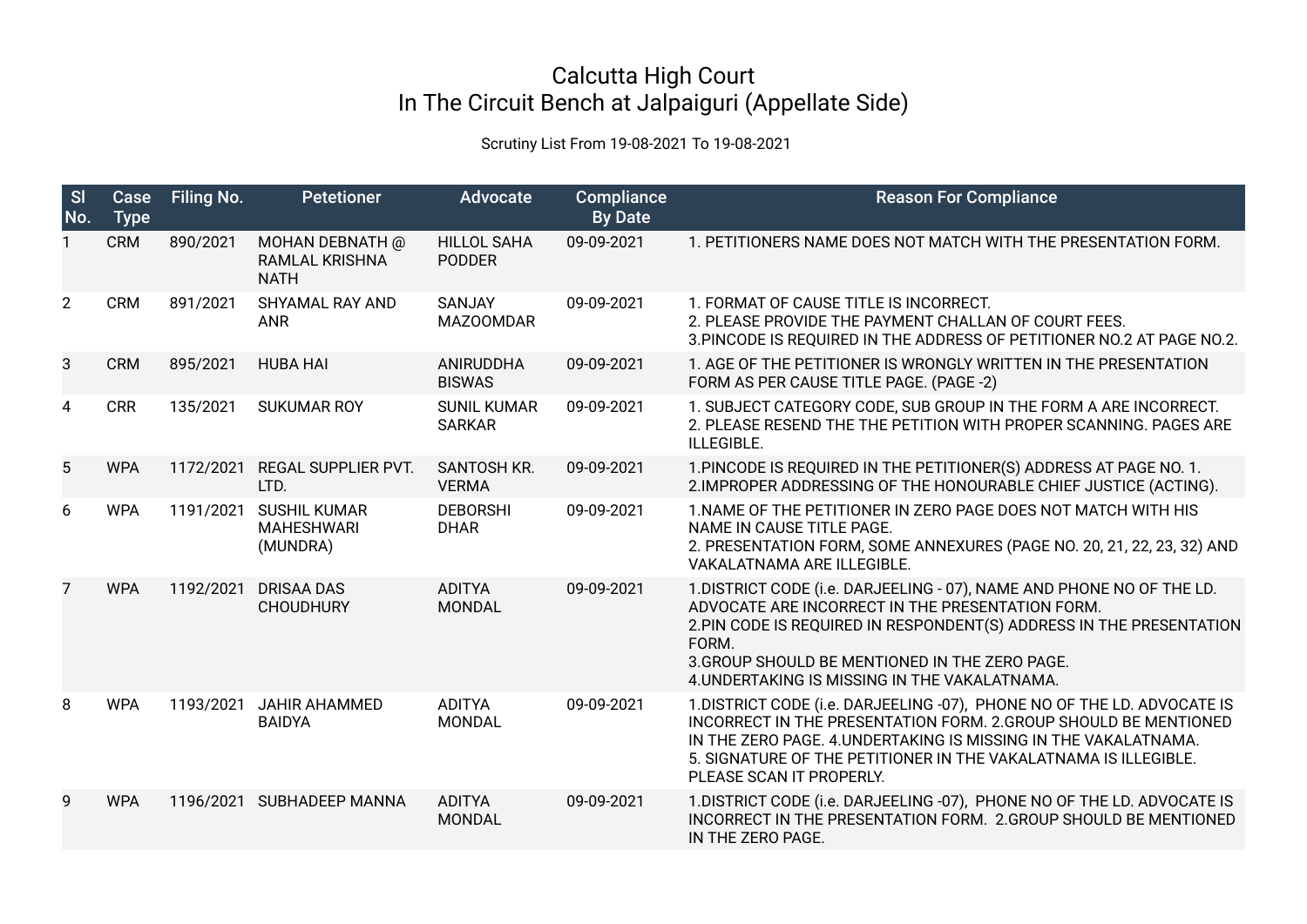## Calcutta High Court In The Circuit Bench at Jalpaiguri (Appellate Side)

## Scrutiny List From 19-08-2021 To 19-08-2021

| S<br>No.       | Case<br><b>Type</b> | Filing No. | <b>Petetioner</b>                                       | <b>Advocate</b>                     | Compliance<br><b>By Date</b> | <b>Reason For Compliance</b>                                                                                                                                                                                                                                                                                  |
|----------------|---------------------|------------|---------------------------------------------------------|-------------------------------------|------------------------------|---------------------------------------------------------------------------------------------------------------------------------------------------------------------------------------------------------------------------------------------------------------------------------------------------------------|
|                | <b>CRM</b>          | 890/2021   | MOHAN DEBNATH @<br><b>RAMLAL KRISHNA</b><br><b>NATH</b> | <b>HILLOL SAHA</b><br><b>PODDER</b> | 09-09-2021                   | 1. PETITIONERS NAME DOES NOT MATCH WITH THE PRESENTATION FORM.                                                                                                                                                                                                                                                |
| $\overline{2}$ | <b>CRM</b>          | 891/2021   | SHYAMAL RAY AND<br><b>ANR</b>                           | SANJAY<br><b>MAZOOMDAR</b>          | 09-09-2021                   | 1. FORMAT OF CAUSE TITLE IS INCORRECT.<br>2. PLEASE PROVIDE THE PAYMENT CHALLAN OF COURT FEES.<br>3. PINCODE IS REQUIRED IN THE ADDRESS OF PETITIONER NO.2 AT PAGE NO.2.                                                                                                                                      |
| 3              | <b>CRM</b>          | 895/2021   | <b>HUBA HAI</b>                                         | ANIRUDDHA<br><b>BISWAS</b>          | 09-09-2021                   | 1. AGE OF THE PETITIONER IS WRONGLY WRITTEN IN THE PRESENTATION<br>FORM AS PER CAUSE TITLE PAGE. (PAGE -2)                                                                                                                                                                                                    |
| 4              | <b>CRR</b>          | 135/2021   | <b>SUKUMAR ROY</b>                                      | <b>SUNIL KUMAR</b><br><b>SARKAR</b> | 09-09-2021                   | 1. SUBJECT CATEGORY CODE, SUB GROUP IN THE FORM A ARE INCORRECT.<br>2. PLEASE RESEND THE THE PETITION WITH PROPER SCANNING. PAGES ARE<br>ILLEGIBLE.                                                                                                                                                           |
| 5              | <b>WPA</b>          | 1172/2021  | REGAL SUPPLIER PVT.<br>LTD.                             | SANTOSH KR.<br><b>VERMA</b>         | 09-09-2021                   | 1. PINCODE IS REQUIRED IN THE PETITIONER(S) ADDRESS AT PAGE NO. 1.<br>2. IMPROPER ADDRESSING OF THE HONOURABLE CHIEF JUSTICE (ACTING).                                                                                                                                                                        |
| 6              | <b>WPA</b>          | 1191/2021  | <b>SUSHIL KUMAR</b><br><b>MAHESHWARI</b><br>(MUNDRA)    | <b>DEBORSHI</b><br><b>DHAR</b>      | 09-09-2021                   | 1. NAME OF THE PETITIONER IN ZERO PAGE DOES NOT MATCH WITH HIS<br>NAME IN CAUSE TITLE PAGE.<br>2. PRESENTATION FORM, SOME ANNEXURES (PAGE NO. 20, 21, 22, 23, 32) AND<br>VAKALATNAMA ARE ILLEGIBLE.                                                                                                           |
| 7              | <b>WPA</b>          | 1192/2021  | <b>DRISAA DAS</b><br><b>CHOUDHURY</b>                   | <b>ADITYA</b><br><b>MONDAL</b>      | 09-09-2021                   | 1. DISTRICT CODE (i.e. DARJEELING - 07), NAME AND PHONE NO OF THE LD.<br>ADVOCATE ARE INCORRECT IN THE PRESENTATION FORM.<br>2. PIN CODE IS REQUIRED IN RESPONDENT(S) ADDRESS IN THE PRESENTATION<br>FORM.<br>3. GROUP SHOULD BE MENTIONED IN THE ZERO PAGE.<br>4. UNDERTAKING IS MISSING IN THE VAKALATNAMA. |
| 8              | <b>WPA</b>          | 1193/2021  | <b>JAHIR AHAMMED</b><br><b>BAIDYA</b>                   | <b>ADITYA</b><br><b>MONDAL</b>      | 09-09-2021                   | 1. DISTRICT CODE (i.e. DARJEELING -07), PHONE NO OF THE LD. ADVOCATE IS<br>INCORRECT IN THE PRESENTATION FORM. 2.GROUP SHOULD BE MENTIONED<br>IN THE ZERO PAGE. 4. UNDERTAKING IS MISSING IN THE VAKALATNAMA.<br>5. SIGNATURE OF THE PETITIONER IN THE VAKALATNAMA IS ILLEGIBLE.<br>PLEASE SCAN IT PROPERLY.  |
| 9              | <b>WPA</b>          | 1196/2021  | SUBHADEEP MANNA                                         | <b>ADITYA</b><br><b>MONDAL</b>      | 09-09-2021                   | 1. DISTRICT CODE (i.e. DARJEELING -07), PHONE NO OF THE LD. ADVOCATE IS<br><b>INCORRECT IN THE PRESENTATION FORM. 2.GROUP SHOULD BE MENTIONED</b><br>IN THE ZERO PAGE.                                                                                                                                        |